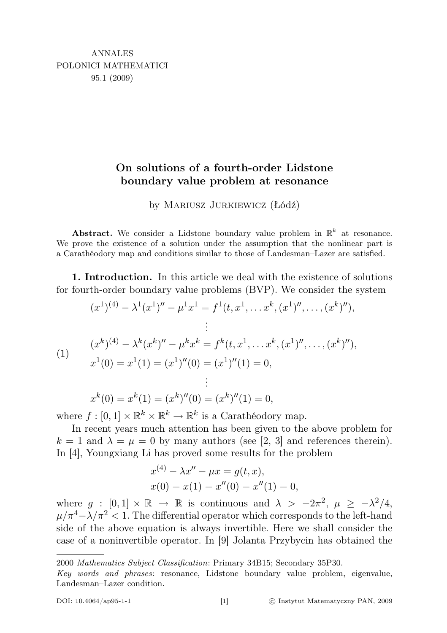## On solutions of a fourth-order Lidstone boundary value problem at resonance

by Mariusz Jurkiewicz (Łódź)

Abstract. We consider a Lidstone boundary value problem in  $\mathbb{R}^k$  at resonance. We prove the existence of a solution under the assumption that the nonlinear part is a Carathéodory map and conditions similar to those of Landesman–Lazer are satisfied.

1. Introduction. In this article we deal with the existence of solutions for fourth-order boundary value problems (BVP). We consider the system

$$
(x1)(4) - \lambda1(x1)'' - \mu1x1 = f1(t, x1,...,xk, (x1)'',..., (xk)''),
$$
  
\n
$$
\vdots
$$
  
\n
$$
(xk)(4) - \lambdak(xk)'' - \mukxk = fk(t, x1,...,xk, (x1)'',..., (xk)''),
$$
  
\n
$$
x1(0) = x1(1) = (x1)''(0) = (x1)''(1) = 0,
$$
  
\n
$$
\vdots
$$

 $x^{k}(0) = x^{k}(1) = (x^{k})''(0) = (x^{k})''(1) = 0,$ where  $f : [0,1] \times \mathbb{R}^k \times \mathbb{R}^k \to \mathbb{R}^k$  is a Carathéodory map.

In recent years much attention has been given to the above problem for  $k = 1$  and  $\lambda = \mu = 0$  by many authors (see [2, 3] and references therein). In [4], Youngxiang Li has proved some results for the problem

$$
x^{(4)} - \lambda x'' - \mu x = g(t, x),
$$
  
\n
$$
x(0) = x(1) = x''(0) = x''(1) = 0,
$$

where  $g : [0,1] \times \mathbb{R} \to \mathbb{R}$  is continuous and  $\lambda > -2\pi^2$ ,  $\mu \geq -\lambda^2/4$ ,  $\mu/\pi^4 - \lambda/\pi^2 < 1$ . The differential operator which corresponds to the left-hand side of the above equation is always invertible. Here we shall consider the case of a noninvertible operator. In [9] Jolanta Przybycin has obtained the

<sup>2000</sup> Mathematics Subject Classification: Primary 34B15; Secondary 35P30.

Key words and phrases: resonance, Lidstone boundary value problem, eigenvalue, Landesman–Lazer condition.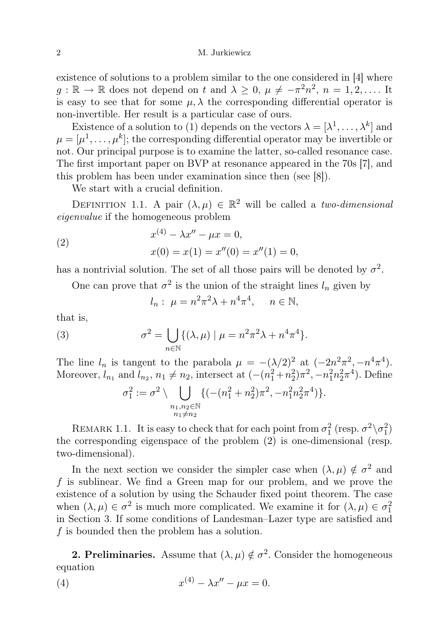existence of solutions to a problem similar to the one considered in [4] where  $g: \mathbb{R} \to \mathbb{R}$  does not depend on t and  $\lambda \geq 0$ ,  $\mu \neq -\pi^2 n^2$ ,  $n = 1, 2, \dots$  It is easy to see that for some  $\mu$ ,  $\lambda$  the corresponding differential operator is non-invertible. Her result is a particular case of ours.

Existence of a solution to (1) depends on the vectors  $\lambda = [\lambda^1, \ldots, \lambda^k]$  and  $\mu = [\mu^1, \ldots, \mu^k]$ ; the corresponding differential operator may be invertible or not. Our principal purpose is to examine the latter, so-called resonance case. The first important paper on BVP at resonance appeared in the 70s [7], and this problem has been under examination since then (see [8]).

We start with a crucial definition.

DEFINITION 1.1. A pair  $(\lambda, \mu) \in \mathbb{R}^2$  will be called a two-dimensional eigenvalue if the homogeneous problem

(2) 
$$
x^{(4)} - \lambda x'' - \mu x = 0,
$$

$$
x(0) = x(1) = x''(0) = x''(1) = 0,
$$

has a nontrivial solution. The set of all those pairs will be denoted by  $\sigma^2$ .

One can prove that  $\sigma^2$  is the union of the straight lines  $l_n$  given by

$$
l_n: \ \mu = n^2 \pi^2 \lambda + n^4 \pi^4, \quad n \in \mathbb{N},
$$

that is,

(3) 
$$
\sigma^2 = \bigcup_{n \in \mathbb{N}} \{ (\lambda, \mu) \mid \mu = n^2 \pi^2 \lambda + n^4 \pi^4 \}.
$$

The line  $l_n$  is tangent to the parabola  $\mu = -(\lambda/2)^2$  at  $(-2n^2\pi^2, -n^4\pi^4)$ . Moreover,  $l_{n_1}$  and  $l_{n_2}$ ,  $n_1 \neq n_2$ , intersect at  $(-(n_1^2 + n_2^2)\pi^2, -n_1^2n_2^2\pi^4)$ . Define

$$
\sigma_1^2 := \sigma^2 \setminus \bigcup_{\substack{n_1, n_2 \in \mathbb{N} \\ n_1 \neq n_2}} \{ (-(n_1^2 + n_2^2)\pi^2, -n_1^2 n_2^2 \pi^4) \}.
$$

REMARK 1.1. It is easy to check that for each point from  $\sigma_1^2$  (resp.  $\sigma^2 \setminus \sigma_1^2$ ) the corresponding eigenspace of the problem (2) is one-dimensional (resp. two-dimensional).

In the next section we consider the simpler case when  $(\lambda, \mu) \notin \sigma^2$  and f is sublinear. We find a Green map for our problem, and we prove the existence of a solution by using the Schauder fixed point theorem. The case when  $(\lambda, \mu) \in \sigma^2$  is much more complicated. We examine it for  $(\lambda, \mu) \in \sigma_1^2$ in Section 3. If some conditions of Landesman–Lazer type are satisfied and f is bounded then the problem has a solution.

**2. Preliminaries.** Assume that  $(\lambda, \mu) \notin \sigma^2$ . Consider the homogeneous equation

(4) 
$$
x^{(4)} - \lambda x'' - \mu x = 0.
$$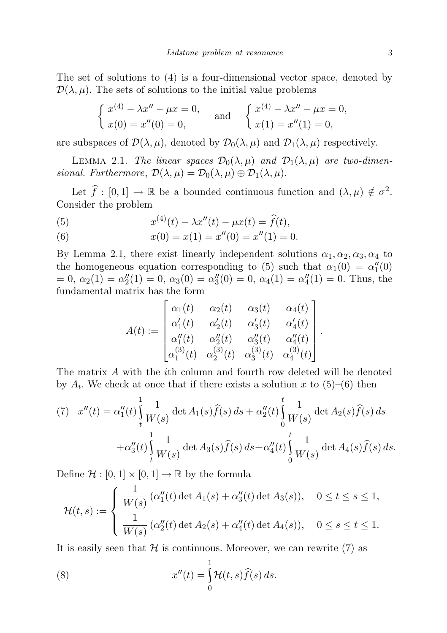The set of solutions to (4) is a four-dimensional vector space, denoted by  $\mathcal{D}(\lambda, \mu)$ . The sets of solutions to the initial value problems

$$
\begin{cases} x^{(4)} - \lambda x'' - \mu x = 0, \\ x(0) = x''(0) = 0, \end{cases} \text{ and } \begin{cases} x^{(4)} - \lambda x'' - \mu x = 0, \\ x(1) = x''(1) = 0, \end{cases}
$$

are subspaces of  $\mathcal{D}(\lambda,\mu)$ , denoted by  $\mathcal{D}_0(\lambda,\mu)$  and  $\mathcal{D}_1(\lambda,\mu)$  respectively.

LEMMA 2.1. The linear spaces  $\mathcal{D}_0(\lambda,\mu)$  and  $\mathcal{D}_1(\lambda,\mu)$  are two-dimensional. Furthermore,  $\mathcal{D}(\lambda,\mu) = \mathcal{D}_0(\lambda,\mu) \oplus \mathcal{D}_1(\lambda,\mu)$ .

Let  $\hat{f} : [0, 1] \to \mathbb{R}$  be a bounded continuous function and  $(\lambda, \mu) \notin \sigma^2$ . Consider the problem

(5) 
$$
x^{(4)}(t) - \lambda x''(t) - \mu x(t) = \hat{f}(t),
$$

(6) 
$$
x(0) = x(1) = x''(0) = x''(1) = 0.
$$

By Lemma 2.1, there exist linearly independent solutions  $\alpha_1, \alpha_2, \alpha_3, \alpha_4$  to the homogeneous equation corresponding to (5) such that  $\alpha_1(0) = \alpha_1''(0)$  $= 0, \ \alpha_2(1) = \alpha_2''(1) = 0, \ \alpha_3(0) = \alpha_3''(0) = 0, \ \alpha_4(1) = \alpha_4''(1) = 0.$  Thus, the fundamental matrix has the form

$$
A(t):=\begin{bmatrix} \alpha_1(t) & \alpha_2(t) & \alpha_3(t) & \alpha_4(t) \\ \alpha'_1(t) & \alpha'_2(t) & \alpha'_3(t) & \alpha'_4(t) \\ \alpha''_1(t) & \alpha''_2(t) & \alpha''_3(t) & \alpha''_4(t) \\ \alpha^{(3)}_1(t) & \alpha^{(3)}_2(t) & \alpha^{(3)}_3(t) & \alpha^{(3)}_4(t) \end{bmatrix}.
$$

The matrix A with the ith column and fourth row deleted will be denoted by  $A_i$ . We check at once that if there exists a solution x to  $(5)-(6)$  then

(7) 
$$
x''(t) = \alpha_1''(t) \int_t^1 \frac{1}{W(s)} \det A_1(s) \hat{f}(s) ds + \alpha_2''(t) \int_0^t \frac{1}{W(s)} \det A_2(s) \hat{f}(s) ds + \alpha_3''(t) \int_t^1 \frac{1}{W(s)} \det A_3(s) \hat{f}(s) ds + \alpha_4''(t) \int_0^t \frac{1}{W(s)} \det A_4(s) \hat{f}(s) ds.
$$

Define  $\mathcal{H} : [0,1] \times [0,1] \to \mathbb{R}$  by the formula

$$
\mathcal{H}(t,s) := \begin{cases} \frac{1}{W(s)} \left( \alpha_1''(t) \det A_1(s) + \alpha_3''(t) \det A_3(s) \right), & 0 \le t \le s \le 1, \\ \frac{1}{W(s)} \left( \alpha_2''(t) \det A_2(s) + \alpha_4''(t) \det A_4(s) \right), & 0 \le s \le t \le 1. \end{cases}
$$

It is easily seen that  $\mathcal H$  is continuous. Moreover, we can rewrite (7) as

(8) 
$$
x''(t) = \int_{0}^{1} \mathcal{H}(t, s) \widehat{f}(s) ds.
$$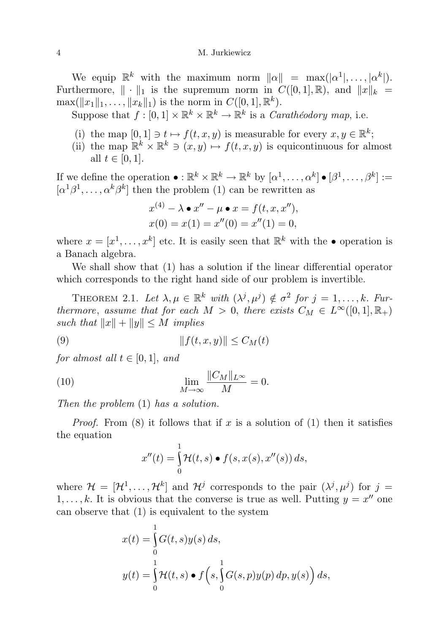## 4 M. Jurkiewicz

We equip  $\mathbb{R}^k$  with the maximum norm  $\|\alpha\| = \max(|\alpha^1|, \ldots, |\alpha^k|).$ Furthermore,  $\|\cdot\|_1$  is the supremum norm in  $C([0, 1], \mathbb{R})$ , and  $\|x\|_k =$  $\max(\|x_1\|_1, \ldots, \|x_k\|_1)$  is the norm in  $C([0, 1], \mathbb{R}^k)$ .

Suppose that  $f : [0,1] \times \mathbb{R}^k \times \mathbb{R}^k \to \mathbb{R}^k$  is a *Carathéodory map*, i.e.

- (i) the map  $[0,1] \ni t \mapsto f(t, x, y)$  is measurable for every  $x, y \in \mathbb{R}^k$ ;
- (ii) the map  $\mathbb{R}^k \times \mathbb{R}^k \ni (x, y) \mapsto f(t, x, y)$  is equicontinuous for almost all  $t \in [0, 1]$ .

If we define the operation  $\bullet : \mathbb{R}^k \times \mathbb{R}^k \to \mathbb{R}^k$  by  $[\alpha^1, \ldots, \alpha^k] \bullet [\beta^1, \ldots, \beta^k] :=$  $[\alpha^1\beta^1,\ldots,\alpha^k\beta^k]$  then the problem (1) can be rewritten as

$$
x^{(4)} - \lambda \bullet x'' - \mu \bullet x = f(t, x, x''),
$$
  

$$
x(0) = x(1) = x''(0) = x''(1) = 0,
$$

where  $x = [x^1, \ldots, x^k]$  etc. It is easily seen that  $\mathbb{R}^k$  with the  $\bullet$  operation is a Banach algebra.

We shall show that (1) has a solution if the linear differential operator which corresponds to the right hand side of our problem is invertible.

THEOREM 2.1. Let  $\lambda, \mu \in \mathbb{R}^k$  with  $(\lambda^j, \mu^j) \notin \sigma^2$  for  $j = 1, \ldots, k$ . Furthermore, assume that for each  $M > 0$ , there exists  $C_M \in L^{\infty}([0,1], \mathbb{R}_+)$ such that  $||x|| + ||y|| \leq M$  implies

$$
(9) \t\t\t\t||f(t,x,y)|| \le C_M(t)
$$

for almost all  $t \in [0, 1]$ , and

(10) 
$$
\lim_{M \to \infty} \frac{\|C_M\|_{L^{\infty}}}{M} = 0.
$$

Then the problem (1) has a solution.

*Proof.* From (8) it follows that if x is a solution of (1) then it satisfies the equation

$$
x''(t) = \int_0^1 \mathcal{H}(t,s) \bullet f(s,x(s),x''(s)) ds,
$$

where  $\mathcal{H} = [\mathcal{H}^1, \ldots, \mathcal{H}^k]$  and  $\mathcal{H}^j$  corresponds to the pair  $(\lambda^j, \mu^j)$  for  $j =$  $1, \ldots, k$ . It is obvious that the converse is true as well. Putting  $y = x''$  one can observe that (1) is equivalent to the system

$$
x(t) = \int_{0}^{1} G(t, s)y(s) ds,
$$
  

$$
y(t) = \int_{0}^{1} \mathcal{H}(t, s) \bullet f\left(s, \int_{0}^{1} G(s, p)y(p) dp, y(s)\right) ds,
$$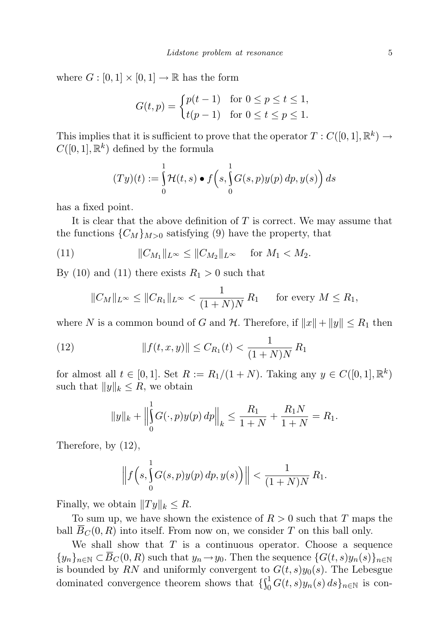where  $G : [0,1] \times [0,1] \to \mathbb{R}$  has the form

$$
G(t,p) = \begin{cases} p(t-1) & \text{for } 0 \le p \le t \le 1, \\ t(p-1) & \text{for } 0 \le t \le p \le 1. \end{cases}
$$

This implies that it is sufficient to prove that the operator  $T: C([0,1], \mathbb{R}^k) \to$  $C([0, 1], \mathbb{R}^k)$  defined by the formula

$$
(Ty)(t) := \int_{0}^{1} \mathcal{H}(t,s) \bullet f\left(s, \int_{0}^{1} G(s,p)y(p) \, dp, y(s)\right) ds
$$

has a fixed point.

It is clear that the above definition of  $T$  is correct. We may assume that the functions  ${C_M}_{M>0}$  satisfying (9) have the property, that

(11) 
$$
||C_{M_1}||_{L^{\infty}} \leq ||C_{M_2}||_{L^{\infty}} \text{ for } M_1 < M_2.
$$

By (10) and (11) there exists  $R_1 > 0$  such that

$$
||C_M||_{L^{\infty}} \le ||C_{R_1}||_{L^{\infty}} < \frac{1}{(1+N)N} R_1 \quad \text{for every } M \le R_1,
$$

where N is a common bound of G and H. Therefore, if  $||x|| + ||y|| \le R_1$  then

(12) 
$$
||f(t, x, y)|| \le C_{R_1}(t) < \frac{1}{(1 + N)N} R_1
$$

for almost all  $t \in [0,1]$ . Set  $R := R_1/(1+N)$ . Taking any  $y \in C([0,1], \mathbb{R}^k)$ such that  $||y||_k \leq R$ , we obtain

$$
||y||_{k} + \Big\|\int_{0}^{1} G(\cdot, p)y(p) dp\Big\|_{k} \le \frac{R_{1}}{1+N} + \frac{R_{1}N}{1+N} = R_{1}.
$$

Therefore, by (12),

$$
\left\| f \left( s, \int_{0}^{1} G(s, p) y(p) \, dp, y(s) \right) \right\| < \frac{1}{(1+N)N} R_1.
$$

Finally, we obtain  $||Ty||_k \leq R$ .

To sum up, we have shown the existence of  $R > 0$  such that T maps the ball  $B_C(0, R)$  into itself. From now on, we consider T on this ball only.

We shall show that  $T$  is a continuous operator. Choose a sequence  ${y_n}_{n\in\mathbb{N}}\subset\overline{B}_C(0,R)$  such that  $y_n\to y_0$ . Then the sequence  ${G(t,s)y_n(s)}_{n\in\mathbb{N}}$ is bounded by RN and uniformly convergent to  $G(t, s)y_0(s)$ . The Lebesgue dominated convergence theorem shows that  $\{\int_0^1 G(t,s)y_n(s) ds\}_{n\in\mathbb{N}}$  is con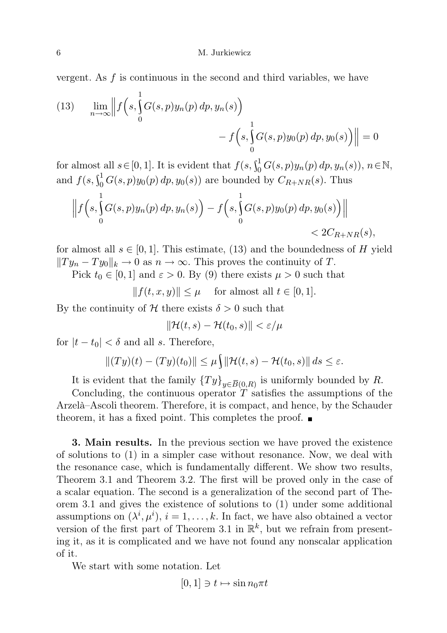vergent. As  $f$  is continuous in the second and third variables, we have

(13) 
$$
\lim_{n \to \infty} \left\| f \left( s, \int_{0}^{1} G(s, p) y_{n}(p) dp, y_{n}(s) \right) - f \left( s, \int_{0}^{1} G(s, p) y_{0}(p) dp, y_{0}(s) \right) \right\| = 0
$$

for almost all  $s \in [0, 1]$ . It is evident that  $f(s, \int_0^1 G(s, p) y_n(p) dp, y_n(s)), n \in \mathbb{N}$ , and  $f(s, \int_0^1 G(s, p) y_0(p) dp, y_0(s))$  are bounded by  $C_{R+NR}(s)$ . Thus

$$
\left\| f \left( s, \int_{0}^{1} G(s, p) y_n(p) \, dp, y_n(s) \right) - f \left( s, \int_{0}^{1} G(s, p) y_0(p) \, dp, y_0(s) \right) \right\|
$$
  
<  $2C_{R+NR}(s),$ 

for almost all  $s \in [0,1]$ . This estimate, (13) and the boundedness of H yield  $||Ty_n - Ty_0||_k \to 0$  as  $n \to \infty$ . This proves the continuity of T.

Pick  $t_0 \in [0, 1]$  and  $\varepsilon > 0$ . By (9) there exists  $\mu > 0$  such that

 $|| f(t, x, y)|| \leq \mu$  for almost all  $t \in [0, 1].$ 

By the continuity of H there exists  $\delta > 0$  such that

$$
\|\mathcal{H}(t,s) - \mathcal{H}(t_0,s)\| < \varepsilon/\mu
$$

for  $|t - t_0| < \delta$  and all s. Therefore,

$$
||(Ty)(t) - (Ty)(t_0)|| \le \mu \int ||\mathcal{H}(t,s) - \mathcal{H}(t_0,s)|| ds \le \varepsilon.
$$

It is evident that the family  ${T y}_{y \in \overline{B}(0,R)}$  is uniformly bounded by R.

Concluding, the continuous operator  $T$  satisfies the assumptions of the Arzelà–Ascoli theorem. Therefore, it is compact, and hence, by the Schauder theorem, it has a fixed point. This completes the proof.  $\blacksquare$ 

3. Main results. In the previous section we have proved the existence of solutions to (1) in a simpler case without resonance. Now, we deal with the resonance case, which is fundamentally different. We show two results, Theorem 3.1 and Theorem 3.2. The first will be proved only in the case of a scalar equation. The second is a generalization of the second part of Theorem 3.1 and gives the existence of solutions to (1) under some additional assumptions on  $(\lambda^i, \mu^i), i = 1, \ldots, k$ . In fact, we have also obtained a vector version of the first part of Theorem 3.1 in  $\mathbb{R}^k$ , but we refrain from presenting it, as it is complicated and we have not found any nonscalar application of it.

We start with some notation. Let

$$
[0,1] \ni t \mapsto \sin n_0 \pi t
$$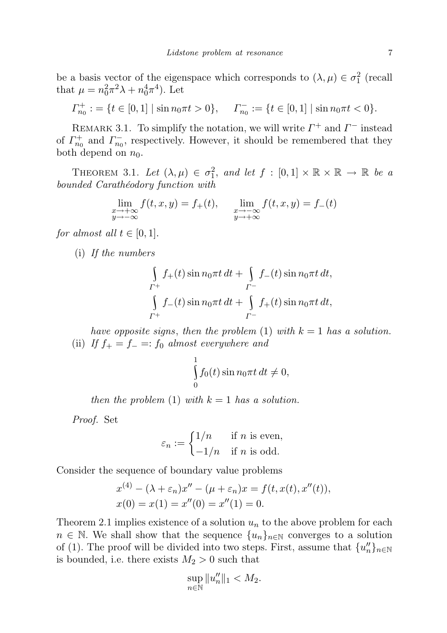be a basis vector of the eigenspace which corresponds to  $(\lambda, \mu) \in \sigma_1^2$  (recall that  $\mu = n_0^2 \pi^2 \lambda + n_0^4 \pi^4$ . Let

$$
\Gamma_{n_0}^+ := \{ t \in [0,1] \mid \sin n_0 \pi t > 0 \}, \quad \Gamma_{n_0}^- := \{ t \in [0,1] \mid \sin n_0 \pi t < 0 \}.
$$

REMARK 3.1. To simplify the notation, we will write  $\Gamma^+$  and  $\Gamma^-$  instead of  $\Gamma_{n_0}^+$  and  $\Gamma_{n_0}^-$ , respectively. However, it should be remembered that they both depend on  $n_0$ .

THEOREM 3.1. Let  $(\lambda, \mu) \in \sigma_1^2$ , and let  $f : [0,1] \times \mathbb{R} \times \mathbb{R} \to \mathbb{R}$  be a bounded Carathéodory function with

$$
\lim_{\substack{x \to +\infty \\ y \to -\infty}} f(t, x, y) = f_+(t), \quad \lim_{\substack{x \to -\infty \\ y \to +\infty}} f(t, x, y) = f_-(t)
$$

for almost all  $t \in [0, 1]$ .

(i) If the numbers

$$
\int_{\Gamma^+} f_+(t) \sin n_0 \pi t \, dt + \int_{\Gamma^-} f_-(t) \sin n_0 \pi t \, dt,
$$
\n
$$
\int_{\Gamma^+} f_-(t) \sin n_0 \pi t \, dt + \int_{\Gamma^-} f_+(t) \sin n_0 \pi t \, dt,
$$

have opposite signs, then the problem (1) with  $k = 1$  has a solution. (ii) If  $f_+ = f_- =: f_0$  almost everywhere and

$$
\int_{0}^{1} f_0(t) \sin n_0 \pi t \, dt \neq 0,
$$

then the problem (1) with  $k = 1$  has a solution.

Proof. Set

$$
\varepsilon_n := \begin{cases} 1/n & \text{if } n \text{ is even,} \\ -1/n & \text{if } n \text{ is odd.} \end{cases}
$$

Consider the sequence of boundary value problems

$$
x^{(4)} - (\lambda + \varepsilon_n)x'' - (\mu + \varepsilon_n)x = f(t, x(t), x''(t)),
$$
  
\n
$$
x(0) = x(1) = x''(0) = x''(1) = 0.
$$

Theorem 2.1 implies existence of a solution  $u_n$  to the above problem for each  $n \in \mathbb{N}$ . We shall show that the sequence  $\{u_n\}_{n\in\mathbb{N}}$  converges to a solution of (1). The proof will be divided into two steps. First, assume that  $\{u''_n\}_{n\in\mathbb{N}}$ is bounded, i.e. there exists  $M_2 > 0$  such that

$$
\sup_{n\in\mathbb{N}}\|u_n''\|_1
$$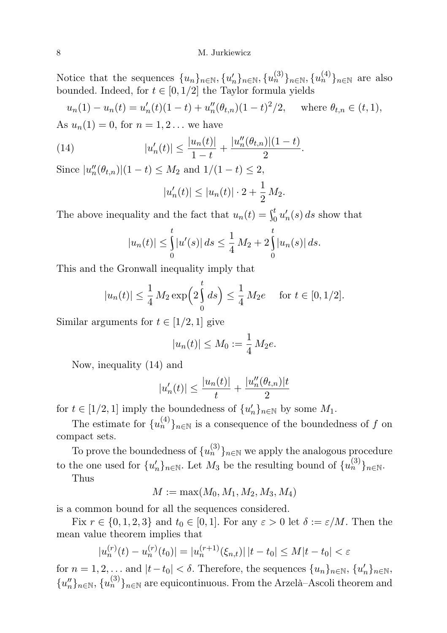Notice that the sequences  $\{u_n\}_{n\in\mathbb{N}}, \{u_n'^{(3)}\}_{n\in\mathbb{N}}, \{u_n^{(4)}\}_{n\in\mathbb{N}}$  are also bounded. Indeed, for  $t \in [0, 1/2]$  the Taylor formula yields

$$
u_n(1) - u_n(t) = u'_n(t)(1-t) + u''_n(\theta_{t,n})(1-t)^2/2, \quad \text{where } \theta_{t,n} \in (t,1),
$$

As  $u_n(1) = 0$ , for  $n = 1, 2...$  we have

(14) 
$$
|u'_n(t)| \le \frac{|u_n(t)|}{1-t} + \frac{|u''_n(\theta_{t,n})|(1-t)}{2}.
$$

Since  $|u''_n(\theta_{t,n})|(1-t) \leq M_2$  and  $1/(1-t) \leq 2$ ,

$$
|u'_n(t)| \le |u_n(t)| \cdot 2 + \frac{1}{2} M_2.
$$

The above inequality and the fact that  $u_n(t) = \int_0^t u'_n(s) ds$  show that

$$
|u_n(t)| \leq \int_0^t |u'(s)| ds \leq \frac{1}{4} M_2 + 2 \int_0^t |u_n(s)| ds.
$$

This and the Gronwall inequality imply that

$$
|u_n(t)| \le \frac{1}{4} M_2 \exp\left(2\int_0^t ds\right) \le \frac{1}{4} M_2 e
$$
 for  $t \in [0, 1/2]$ .

Similar arguments for  $t \in [1/2, 1]$  give

$$
|u_n(t)| \le M_0 := \frac{1}{4} M_2 e.
$$

Now, inequality (14) and

$$
|u'_n(t)| \le \frac{|u_n(t)|}{t} + \frac{|u''_n(\theta_{t,n})|t}{2}
$$

for  $t \in [1/2, 1]$  imply the boundedness of  $\{u'_n\}_{n \in \mathbb{N}}$  by some  $M_1$ .

The estimate for  ${u_n^{(4)}}_{n \in \mathbb{N}}$  is a consequence of the boundedness of f on compact sets.

To prove the boundedness of  $\{u_n^{(3)}\}_{n\in\mathbb{N}}$  we apply the analogous procedure to the one used for  $\{u'_n\}_{n\in\mathbb{N}}$ . Let  $M_3$  be the resulting bound of  $\{u_n^{(3)}\}_{n\in\mathbb{N}}$ .

Thus

$$
M:=\max(M_0,M_1,M_2,M_3,M_4)
$$

is a common bound for all the sequences considered.

Fix  $r \in \{0, 1, 2, 3\}$  and  $t_0 \in [0, 1]$ . For any  $\varepsilon > 0$  let  $\delta := \varepsilon/M$ . Then the mean value theorem implies that

$$
|u_n^{(r)}(t) - u_n^{(r)}(t_0)| = |u_n^{(r+1)}(\xi_{n,t})| \, |t - t_0| \le M|t - t_0| < \varepsilon
$$

for  $n = 1, 2, \ldots$  and  $|t - t_0| < \delta$ . Therefore, the sequences  $\{u_n\}_{n \in \mathbb{N}}, \{u'_n\}_{n \in \mathbb{N}},$  ${u_n''}_n$ <sub>n∈N</sub>,  ${u_n^{(3)}}_{n \in \mathbb{N}}$  are equicontinuous. From the Arzelà–Ascoli theorem and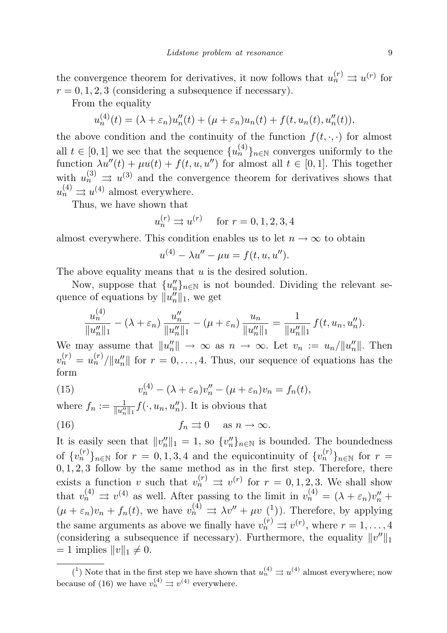the convergence theorem for derivatives, it now follows that  $u_n^{(r)} \rightrightarrows u^{(r)}$  for  $r = 0, 1, 2, 3$  (considering a subsequence if necessary).

From the equality

$$
u_n^{(4)}(t) = (\lambda + \varepsilon_n)u_n''(t) + (\mu + \varepsilon_n)u_n(t) + f(t, u_n(t), u_n''(t)),
$$

the above condition and the continuity of the function  $f(t, \cdot, \cdot)$  for almost all  $t \in [0,1]$  we see that the sequence  $\{u_n^{(4)}\}_{n \in \mathbb{N}}$  converges uniformly to the function  $\lambda u''(t) + \mu u(t) + f(t, u, u'')$  for almost all  $t \in [0, 1]$ . This together with  $u_n^{(3)} \nightharpoonup u^{(3)}$  and the convergence theorem for derivatives shows that  $u_n^{(4)} \rightrightarrows u^{(4)}$  almost everywhere.

Thus, we have shown that

$$
u_n^{(r)} \rightrightarrows u^{(r)} \quad \text{ for } r = 0, 1, 2, 3, 4
$$

almost everywhere. This condition enables us to let  $n \to \infty$  to obtain

$$
u^{(4)} - \lambda u'' - \mu u = f(t, u, u'').
$$

The above equality means that  $u$  is the desired solution.

Now, suppose that  $\{u''_n\}_{n\in\mathbb{N}}$  is not bounded. Dividing the relevant sequence of equations by  $||u''_n||_1$ , we get

$$
\frac{u_n^{(4)}}{\|u_n''\|_1} - (\lambda + \varepsilon_n) \frac{u_n''}{\|u_n''\|_1} - (\mu + \varepsilon_n) \frac{u_n}{\|u_n''\|_1} = \frac{1}{\|u_n''\|_1} f(t, u_n, u_n'').
$$

We may assume that  $||u_n''|| \to \infty$  as  $n \to \infty$ . Let  $v_n := u_n/||u_n''||$ . Then  $v_n^{(r)} = u_n^{(r)} / ||u_n''||$  for  $r = 0, \ldots, 4$ . Thus, our sequence of equations has the form

(15) 
$$
v_n^{(4)} - (\lambda + \varepsilon_n)v_n'' - (\mu + \varepsilon_n)v_n = f_n(t),
$$

where  $f_n := \frac{1}{\|u''_n\|_1} f(\cdot, u_n, u''_n)$ . It is obvious that (16)  $f_n \rightrightarrows 0 \text{ as } n \to \infty.$ 

It is easily seen that  $||v''_n||_1 = 1$ , so  $\{v''_n\}_{n\in\mathbb{N}}$  is bounded. The boundedness of  $\{v_n^{(r)}\}_{n\in\mathbb{N}}$  for  $r=0,1,3,4$  and the equicontinuity of  $\{v_n^{(r)}\}_{n\in\mathbb{N}}$  for  $r=$  $0, 1, 2, 3$  follow by the same method as in the first step. Therefore, there exists a function v such that  $v_n^{(r)} \implies v^{(r)}$  for  $r = 0, 1, 2, 3$ . We shall show that  $v_n^{(4)} \implies v^{(4)}$  as well. After passing to the limit in  $v_n^{(4)} = (\lambda + \varepsilon_n)v_n^{\prime\prime} +$  $(\mu + \varepsilon_n)v_n + f_n(t)$ , we have  $v_n^{(4)} \rightrightarrows \lambda v'' + \mu v^{(1)}$ . Therefore, by applying the same arguments as above we finally have  $v_n^{(r)} \rightrightarrows v^{(r)}$ , where  $r = 1, \ldots, 4$ (considering a subsequence if necessary). Furthermore, the equality  $||v''||_1$  $= 1$  implies  $||v||_1 \neq 0$ .

<sup>(&</sup>lt;sup>1</sup>) Note that in the first step we have shown that  $u_n^{(4)} \rightrightarrows u^{(4)}$  almost everywhere; now because of (16) we have  $v_n^{(4)} \rightrightarrows v^{(4)}$  everywhere.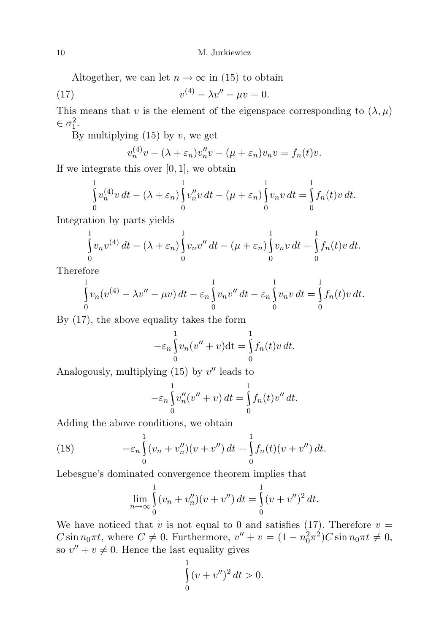Altogether, we can let  $n \to \infty$  in (15) to obtain

(17) 
$$
v^{(4)} - \lambda v'' - \mu v = 0.
$$

This means that v is the element of the eigenspace corresponding to  $(\lambda, \mu)$  $\in \sigma_1^2$ .

By multiplying  $(15)$  by v, we get

$$
v_n^{(4)}v - (\lambda + \varepsilon_n)v_n''v - (\mu + \varepsilon_n)v_nv = f_n(t)v.
$$

If we integrate this over  $[0, 1]$ , we obtain

$$
\int_{0}^{1} v_n^{(4)} v dt - (\lambda + \varepsilon_n) \int_{0}^{1} v_n'' v dt - (\mu + \varepsilon_n) \int_{0}^{1} v_n v dt = \int_{0}^{1} f_n(t) v dt.
$$

Integration by parts yields

$$
\int_{0}^{1} v_n v^{(4)} dt - (\lambda + \varepsilon_n) \int_{0}^{1} v_n v'' dt - (\mu + \varepsilon_n) \int_{0}^{1} v_n v dt = \int_{0}^{1} f_n(t) v dt.
$$

Therefore

$$
\int_{0}^{1} v_n(v^{(4)} - \lambda v'' - \mu v) dt - \varepsilon_n \int_{0}^{1} v_n v'' dt - \varepsilon_n \int_{0}^{1} v_n v dt = \int_{0}^{1} f_n(t) v dt.
$$

By (17), the above equality takes the form

$$
-\varepsilon_n \int_0^1 v_n(v'' + v) dt = \int_0^1 f_n(t)v dt.
$$

Analogously, multiplying  $(15)$  by  $v''$  leads to

$$
-\varepsilon_n \int_0^1 v''_n(v'' + v) dt = \int_0^1 f_n(t)v'' dt.
$$

Adding the above conditions, we obtain

(18) 
$$
-\varepsilon_n \int_0^1 (v_n + v_n'')(v + v'') dt = \int_0^1 f_n(t) (v + v'') dt.
$$

Lebesgue's dominated convergence theorem implies that

$$
\lim_{n \to \infty} \int_{0}^{1} (v_n + v_n'')(v + v'') dt = \int_{0}^{1} (v + v'')^2 dt.
$$

We have noticed that v is not equal to 0 and satisfies (17). Therefore  $v =$ C sin  $n_0 \pi t$ , where  $C \neq 0$ . Furthermore,  $v'' + v = (1 - n_0^2 \pi^2)C \sin n_0 \pi t \neq 0$ , so  $v'' + v \neq 0$ . Hence the last equality gives

$$
\int_{0}^{1} (v + v'')^{2} dt > 0.
$$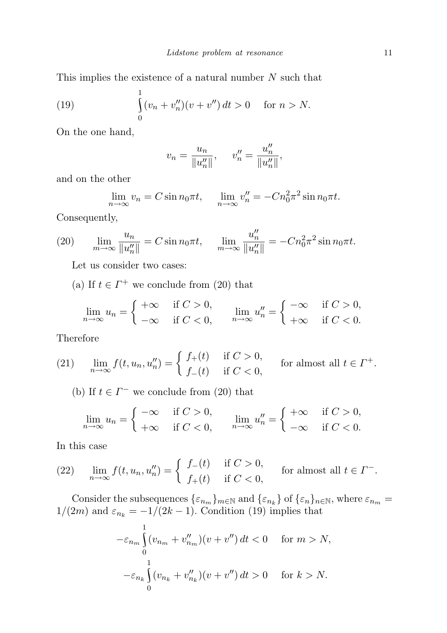This implies the existence of a natural number  $N$  such that

(19) 
$$
\int_{0}^{1} (v_n + v_n'')(v + v'') dt > 0 \quad \text{for } n > N.
$$

On the one hand,

$$
v_n = \frac{u_n}{\|u''_n\|}, \quad v''_n = \frac{u''_n}{\|u''_n\|},
$$

and on the other

$$
\lim_{n \to \infty} v_n = C \sin n_0 \pi t, \quad \lim_{n \to \infty} v_n'' = -C n_0^2 \pi^2 \sin n_0 \pi t.
$$

Consequently,

(20) 
$$
\lim_{m \to \infty} \frac{u_n}{\|u_n''\|} = C \sin n_0 \pi t, \quad \lim_{m \to \infty} \frac{u_n''}{\|u_n''\|} = -C n_0^2 \pi^2 \sin n_0 \pi t.
$$

Let us consider two cases:

(a) If  $t \in \Gamma^+$  we conclude from (20) that

$$
\lim_{n \to \infty} u_n = \begin{cases} +\infty & \text{if } C > 0, \\ -\infty & \text{if } C < 0, \end{cases} \qquad \lim_{n \to \infty} u_n'' = \begin{cases} -\infty & \text{if } C > 0, \\ +\infty & \text{if } C < 0. \end{cases}
$$

Therefore

(21) 
$$
\lim_{n \to \infty} f(t, u_n, u_n'') = \begin{cases} f_+(t) & \text{if } C > 0, \\ f_-(t) & \text{if } C < 0, \end{cases}
$$
 for almost all  $t \in \Gamma^+.$ 

(b) If  $t \in \Gamma^-$  we conclude from (20) that

$$
\lim_{n \to \infty} u_n = \begin{cases} -\infty & \text{if } C > 0, \\ +\infty & \text{if } C < 0, \end{cases} \qquad \lim_{n \to \infty} u_n'' = \begin{cases} +\infty & \text{if } C > 0, \\ -\infty & \text{if } C < 0. \end{cases}
$$

In this case

(22) 
$$
\lim_{n \to \infty} f(t, u_n, u_n'') = \begin{cases} f_-(t) & \text{if } C > 0, \\ f_+(t) & \text{if } C < 0, \end{cases}
$$
 for almost all  $t \in \Gamma^-$ .

Consider the subsequences  $\{\varepsilon_{n_m}\}_{m\in\mathbb{N}}$  and  $\{\varepsilon_{n_k}\}$  of  $\{\varepsilon_n\}_{n\in\mathbb{N}}$ , where  $\varepsilon_{n_m}$  =  $1/(2m)$  and  $\varepsilon_{n_k} = -1/(2k-1)$ . Condition (19) implies that

$$
-\varepsilon_{n_m}\int_{0}^{1} (v_{n_m} + v_{n_m}^{"})(v + v'') dt < 0 \quad \text{for } m > N,
$$
  

$$
-\varepsilon_{n_k}\int_{0}^{1} (v_{n_k} + v_{n_k}^{"})(v + v'') dt > 0 \quad \text{for } k > N.
$$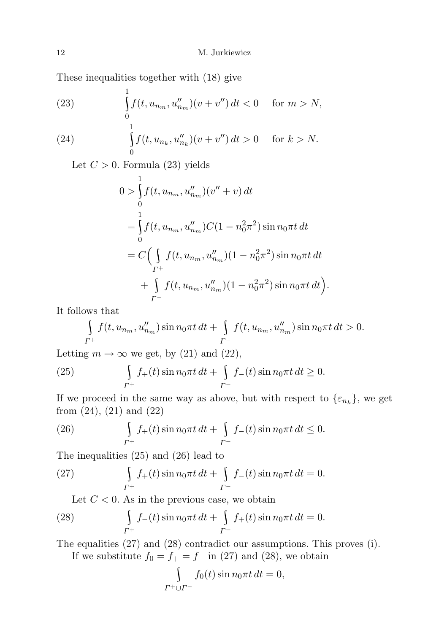These inequalities together with (18) give

1

(23) 
$$
\int_{0}^{1} f(t, u_{n_m}, u''_{n_m})(v + v'') dt < 0 \quad \text{for } m > N,
$$

(24) 
$$
\int_{0}^{1} f(t, u_{n_k}, u_{n_k}'')(v + v'') dt > 0 \quad \text{for } k > N.
$$

Let  $C > 0$ . Formula (23) yields

$$
0 > \int_{0}^{1} f(t, u_{n_m}, u''_{n_m})(v'' + v) dt
$$
  
= 
$$
\int_{0}^{1} f(t, u_{n_m}, u''_{n_m}) C(1 - n_0^2 \pi^2) \sin n_0 \pi t dt
$$
  
= 
$$
C \Big( \int_{\Gamma^+} f(t, u_{n_m}, u''_{n_m})(1 - n_0^2 \pi^2) \sin n_0 \pi t dt + \int_{\Gamma^-} f(t, u_{n_m}, u''_{n_m})(1 - n_0^2 \pi^2) \sin n_0 \pi t dt \Big).
$$

It follows that

$$
\int_{\Gamma^+} f(t, u_{n_m}, u''_{n_m}) \sin n_0 \pi t \, dt + \int_{\Gamma^-} f(t, u_{n_m}, u''_{n_m}) \sin n_0 \pi t \, dt > 0.
$$

Letting  $m \to \infty$  we get, by (21) and (22),

(25) 
$$
\int_{\Gamma^+} f_+(t) \sin n_0 \pi t \, dt + \int_{\Gamma^-} f_-(t) \sin n_0 \pi t \, dt \ge 0.
$$

If we proceed in the same way as above, but with respect to  $\{\varepsilon_{n_k}\}\,$ , we get from  $(24)$ ,  $(21)$  and  $(22)$ 

(26) 
$$
\int_{\Gamma^+} f_+(t) \sin n_0 \pi t \, dt + \int_{\Gamma^-} f_-(t) \sin n_0 \pi t \, dt \le 0.
$$

The inequalities (25) and (26) lead to

(27) 
$$
\int_{\Gamma^+} f_+(t) \sin n_0 \pi t \, dt + \int_{\Gamma^-} f_-(t) \sin n_0 \pi t \, dt = 0.
$$

Let  $C < 0$ . As in the previous case, we obtain

(28) 
$$
\int_{\Gamma^+} f_-(t) \sin n_0 \pi t \, dt + \int_{\Gamma^-} f_+(t) \sin n_0 \pi t \, dt = 0.
$$

The equalities (27) and (28) contradict our assumptions. This proves (i). If we substitute  $f_0 = f_+ = f_-$  in (27) and (28), we obtain

$$
\int_{\Gamma^+ \cup \Gamma^-} f_0(t) \sin n_0 \pi t \, dt = 0,
$$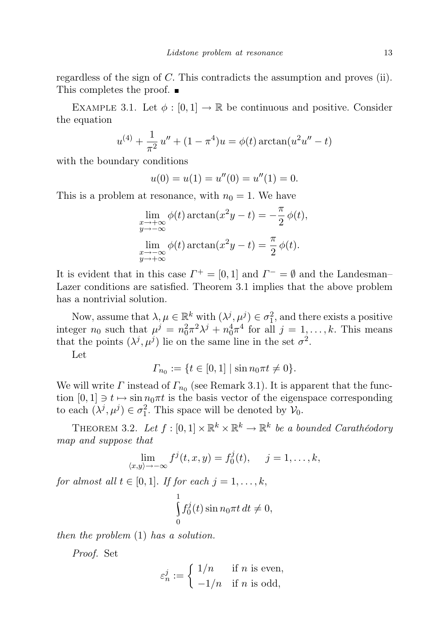regardless of the sign of C. This contradicts the assumption and proves (ii). This completes the proof. ■

EXAMPLE 3.1. Let  $\phi : [0, 1] \to \mathbb{R}$  be continuous and positive. Consider the equation

$$
u^{(4)} + \frac{1}{\pi^2} u'' + (1 - \pi^4)u = \phi(t) \arctan(u^2 u'' - t)
$$

with the boundary conditions

$$
u(0) = u(1) = u''(0) = u''(1) = 0.
$$

This is a problem at resonance, with  $n_0 = 1$ . We have

$$
\lim_{\substack{x \to +\infty \\ y \to -\infty}} \phi(t) \arctan(x^2 y - t) = -\frac{\pi}{2} \phi(t),
$$
  

$$
\lim_{\substack{x \to -\infty \\ y \to +\infty}} \phi(t) \arctan(x^2 y - t) = \frac{\pi}{2} \phi(t).
$$

It is evident that in this case  $\Gamma^+ = [0, 1]$  and  $\Gamma^- = \emptyset$  and the Landesman-Lazer conditions are satisfied. Theorem 3.1 implies that the above problem has a nontrivial solution.

Now, assume that  $\lambda, \mu \in \mathbb{R}^k$  with  $(\lambda^j, \mu^j) \in \sigma_1^2$ , and there exists a positive integer  $n_0$  such that  $\mu^j = n_0^2 \pi^2 \lambda^j + n_0^4 \pi^4$  for all  $j = 1, \dots, k$ . This means that the points  $(\lambda^j, \mu^j)$  lie on the same line in the set  $\sigma^2$ .

Let

$$
\Gamma_{n_0} := \{ t \in [0, 1] \mid \sin n_0 \pi t \neq 0 \}.
$$

We will write  $\Gamma$  instead of  $\Gamma_{n_0}$  (see Remark 3.1). It is apparent that the function  $[0, 1] \ni t \mapsto \sin n_0 \pi t$  is the basis vector of the eigenspace corresponding to each  $(\lambda^j, \mu^j) \in \sigma_1^2$ . This space will be denoted by  $\mathcal{V}_0$ .

THEOREM 3.2. Let  $f : [0,1] \times \mathbb{R}^k \times \mathbb{R}^k \to \mathbb{R}^k$  be a bounded Carathéodory map and suppose that

$$
\lim_{\langle x,y\rangle \to -\infty} f^j(t,x,y) = f_0^j(t), \quad j = 1, \dots, k,
$$

for almost all  $t \in [0,1]$ . If for each  $j = 1, \ldots, k$ ,

$$
\int_{0}^{1} f_0^j(t) \sin n_0 \pi t \, dt \neq 0,
$$

then the problem (1) has a solution.

Proof. Set

$$
\varepsilon_n^j:=\left\{\begin{aligned}&1/n &&\text{if $n$ is even},\\&-1/n &&\text{if $n$ is odd},\end{aligned}\right.
$$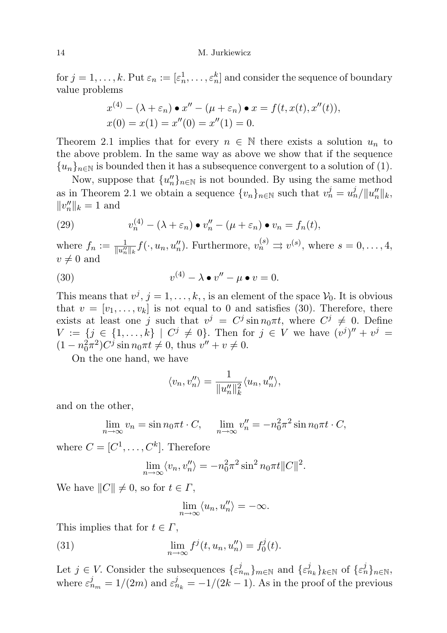for  $j = 1, \ldots, k$ . Put  $\varepsilon_n := [\varepsilon_n^1, \ldots, \varepsilon_n^k]$  and consider the sequence of boundary value problems

$$
x^{(4)} - (\lambda + \varepsilon_n) \bullet x'' - (\mu + \varepsilon_n) \bullet x = f(t, x(t), x''(t)),
$$
  
 
$$
x(0) = x(1) = x''(0) = x''(1) = 0.
$$

Theorem 2.1 implies that for every  $n \in \mathbb{N}$  there exists a solution  $u_n$  to the above problem. In the same way as above we show that if the sequence  $\{u_n\}_{n\in\mathbb{N}}$  is bounded then it has a subsequence convergent to a solution of (1).

Now, suppose that  ${u''_n}_{n \in \mathbb{N}}$  is not bounded. By using the same method as in Theorem 2.1 we obtain a sequence  $\{v_n\}_{n\in\mathbb{N}}$  such that  $v_n^j = u_n^j / ||u_n''||_k$ ,  $||v_n''||_k = 1$  and

(29) 
$$
v_n^{(4)} - (\lambda + \varepsilon_n) \bullet v_n'' - (\mu + \varepsilon_n) \bullet v_n = f_n(t),
$$

where  $f_n := \frac{1}{||u''_n||_k} f(\cdot, u_n, u''_n)$ . Furthermore,  $v_n^{(s)} \Rightarrow v^{(s)}$ , where  $s = 0, \ldots, 4$ ,  $v \neq 0$  and

(30) 
$$
v^{(4)} - \lambda \bullet v'' - \mu \bullet v = 0.
$$

This means that  $v^j$ ,  $j = 1, ..., k$ , is an element of the space  $\mathcal{V}_0$ . It is obvious that  $v = [v_1, \ldots, v_k]$  is not equal to 0 and satisfies (30). Therefore, there exists at least one j such that  $v^j = C^j \sin n_0 \pi t$ , where  $C^j \neq 0$ . Define  $V := \{j \in \{1, ..., k\} \mid C^j \neq 0\}$ . Then for  $j \in V$  we have  $(v^j)'' + v^j =$  $(1 - n_0^2 \pi^2) C^j \sin n_0 \pi t \neq 0$ , thus  $v'' + v \neq 0$ .

On the one hand, we have

$$
\langle v_n, v_n'' \rangle = \frac{1}{\|u_n''\|_k^2} \langle u_n, u_n'' \rangle,
$$

and on the other,

$$
\lim_{n \to \infty} v_n = \sin n_0 \pi t \cdot C, \quad \lim_{n \to \infty} v_n'' = -n_0^2 \pi^2 \sin n_0 \pi t \cdot C,
$$

where  $C = [C^1, \ldots, C^k]$ . Therefore

$$
\lim_{n \to \infty} \langle v_n, v_n'' \rangle = -n_0^2 \pi^2 \sin^2 n_0 \pi t ||C||^2.
$$

We have  $||C|| \neq 0$ , so for  $t \in \Gamma$ ,

$$
\lim_{n \to \infty} \langle u_n, u_n'' \rangle = -\infty.
$$

This implies that for  $t \in \Gamma$ ,

(31) 
$$
\lim_{n \to \infty} f^{j}(t, u_{n}, u_{n}'') = f_{0}^{j}(t).
$$

Let  $j \in V$ . Consider the subsequences  $\{\varepsilon_{n_m}^j\}_{m \in \mathbb{N}}$  and  $\{\varepsilon_{n_k}^j\}_{k \in \mathbb{N}}$  of  $\{\varepsilon_n^j\}_{n \in \mathbb{N}}$ , where  $\varepsilon_{n_m}^j = 1/(2m)$  and  $\varepsilon_{n_k}^j = -1/(2k-1)$ . As in the proof of the previous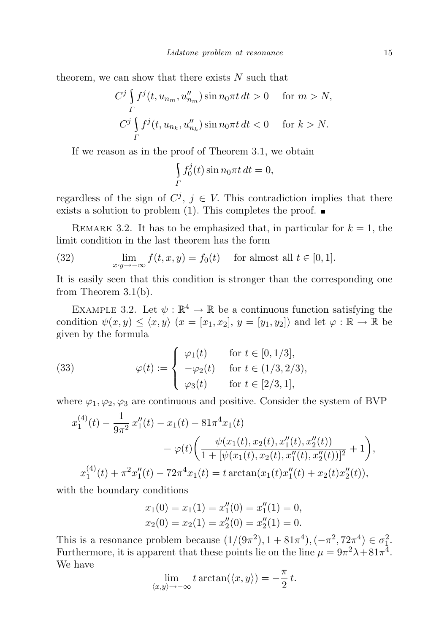theorem, we can show that there exists  $N$  such that

$$
C^j \int\limits_{\Gamma} f^j(t, u_{n_m}, u_{n_m}'') \sin n_0 \pi t \, dt > 0 \quad \text{ for } m > N,
$$
  

$$
C^j \int\limits_{\Gamma} f^j(t, u_{n_k}, u_{n_k}'') \sin n_0 \pi t \, dt < 0 \quad \text{ for } k > N.
$$

If we reason as in the proof of Theorem 3.1, we obtain

$$
\int\limits_{\Gamma} f_0^j(t) \sin n_0 \pi t \, dt = 0,
$$

regardless of the sign of  $C^j$ ,  $j \in V$ . This contradiction implies that there exists a solution to problem (1). This completes the proof.  $\blacksquare$ 

REMARK 3.2. It has to be emphasized that, in particular for  $k = 1$ , the limit condition in the last theorem has the form

(32) 
$$
\lim_{x \to -\infty} f(t, x, y) = f_0(t) \quad \text{for almost all } t \in [0, 1].
$$

It is easily seen that this condition is stronger than the corresponding one from Theorem 3.1(b).

EXAMPLE 3.2. Let  $\psi : \mathbb{R}^4 \to \mathbb{R}$  be a continuous function satisfying the condition  $\psi(x, y) \le \langle x, y \rangle$   $(x = [x_1, x_2], y = [y_1, y_2])$  and let  $\varphi : \mathbb{R} \to \mathbb{R}$  be given by the formula

(33) 
$$
\varphi(t) := \begin{cases} \varphi_1(t) & \text{for } t \in [0, 1/3], \\ -\varphi_2(t) & \text{for } t \in (1/3, 2/3), \\ \varphi_3(t) & \text{for } t \in [2/3, 1], \end{cases}
$$

where  $\varphi_1, \varphi_2, \varphi_3$  are continuous and positive. Consider the system of BVP

$$
x_1^{(4)}(t) - \frac{1}{9\pi^2} x_1''(t) - x_1(t) - 81\pi^4 x_1(t)
$$
  
=  $\varphi(t) \left( \frac{\psi(x_1(t), x_2(t), x_1''(t), x_2''(t))}{1 + [\psi(x_1(t), x_2(t), x_1''(t), x_2''(t))]^2} + 1 \right),$   
 $x_1^{(4)}(t) + \pi^2 x_1''(t) - 72\pi^4 x_1(t) = t \arctan(x_1(t) x_1''(t) + x_2(t) x_2''(t)),$ 

with the boundary conditions

$$
x_1(0) = x_1(1) = x_1''(0) = x_1''(1) = 0,
$$
  

$$
x_2(0) = x_2(1) = x_2''(0) = x_2''(1) = 0.
$$

This is a resonance problem because  $(1/(9\pi^2), 1 + 81\pi^4), (-\pi^2, 72\pi^4) \in \sigma_1^2$ . Furthermore, it is apparent that these points lie on the line  $\mu = 9\pi^2 \lambda + 81\pi^4$ . We have

$$
\lim_{\langle x,y\rangle \to -\infty} t \arctan(\langle x,y\rangle) = -\frac{\pi}{2} t.
$$